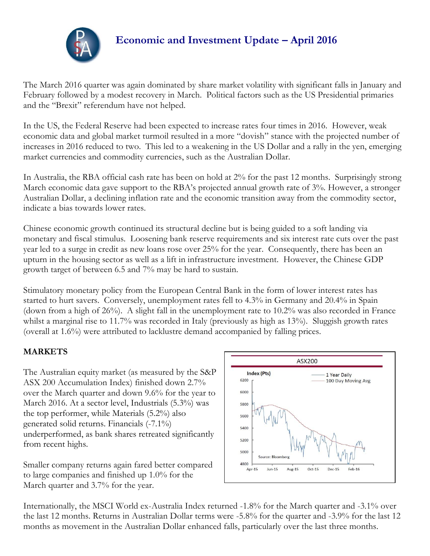

# **Economic and Investment Update – April 2016**

The March 2016 quarter was again dominated by share market volatility with significant falls in January and February followed by a modest recovery in March. Political factors such as the US Presidential primaries and the "Brexit" referendum have not helped.

In the US, the Federal Reserve had been expected to increase rates four times in 2016. However, weak economic data and global market turmoil resulted in a more "dovish" stance with the projected number of increases in 2016 reduced to two. This led to a weakening in the US Dollar and a rally in the yen, emerging market currencies and commodity currencies, such as the Australian Dollar.

In Australia, the RBA official cash rate has been on hold at 2% for the past 12 months. Surprisingly strong March economic data gave support to the RBA's projected annual growth rate of 3%. However, a stronger Australian Dollar, a declining inflation rate and the economic transition away from the commodity sector, indicate a bias towards lower rates.

Chinese economic growth continued its structural decline but is being guided to a soft landing via monetary and fiscal stimulus. Loosening bank reserve requirements and six interest rate cuts over the past year led to a surge in credit as new loans rose over 25% for the year. Consequently, there has been an upturn in the housing sector as well as a lift in infrastructure investment. However, the Chinese GDP growth target of between 6.5 and 7% may be hard to sustain.

Stimulatory monetary policy from the European Central Bank in the form of lower interest rates has started to hurt savers. Conversely, unemployment rates fell to 4.3% in Germany and 20.4% in Spain (down from a high of 26%). A slight fall in the unemployment rate to 10.2% was also recorded in France whilst a marginal rise to 11.7% was recorded in Italy (previously as high as 13%). Sluggish growth rates (overall at 1.6%) were attributed to lacklustre demand accompanied by falling prices.

### **MARKETS**

The Australian equity market (as measured by the S&P ASX 200 Accumulation Index) finished down 2.7% over the March quarter and down 9.6% for the year to March 2016. At a sector level, Industrials (5.3%) was the top performer, while Materials (5.2%) also generated solid returns. Financials (-7.1%) underperformed, as bank shares retreated significantly from recent highs.

Smaller company returns again fared better compared to large companies and finished up 1.0% for the March quarter and 3.7% for the year.



Internationally, the MSCI World ex-Australia Index returned -1.8% for the March quarter and -3.1% over the last 12 months. Returns in Australian Dollar terms were -5.8% for the quarter and -3.9% for the last 12 months as movement in the Australian Dollar enhanced falls, particularly over the last three months.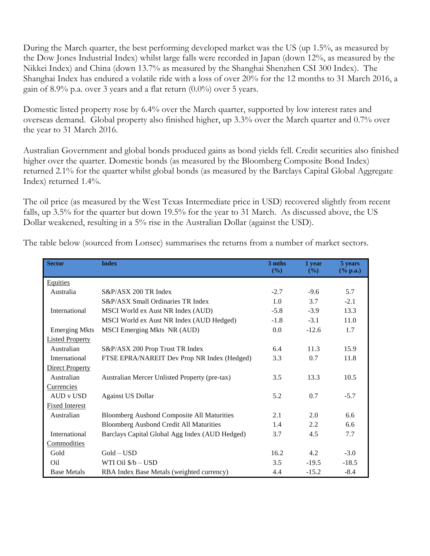During the March quarter, the best performing developed market was the US (up 1.5%, as measured by the Dow Jones Industrial Index) whilst large falls were recorded in Japan (down 12%, as measured by the Nikkei Index) and China (down 13.7% as measured by the Shanghai Shenzhen CSI 300 Index). The Shanghai Index has endured a volatile ride with a loss of over 20% for the 12 months to 31 March 2016, a gain of 8.9% p.a. over 3 years and a flat return  $(0.0\%)$  over 5 years.

Domestic listed property rose by 6.4% over the March quarter, supported by low interest rates and overseas demand. Global property also finished higher, up 3.3% over the March quarter and 0.7% over the year to 31 March 2016.

Australian Government and global bonds produced gains as bond yields fell. Credit securities also finished higher over the quarter. Domestic bonds (as measured by the Bloomberg Composite Bond Index) returned 2.1% for the quarter whilst global bonds (as measured by the Barclays Capital Global Aggregate Index) returned 1.4%.

The oil price (as measured by the West Texas Intermediate price in USD) recovered slightly from recent falls, up 3.5% for the quarter but down 19.5% for the year to 31 March. As discussed above, the US Dollar weakened, resulting in a 5% rise in the Australian Dollar (against the USD).

| <b>Sector</b>          | <b>Index</b>                                      | 3 mths<br>(9/0) | 1 year<br>(%) | 5 years<br>$(\%$ p.a.) |
|------------------------|---------------------------------------------------|-----------------|---------------|------------------------|
| <b>Equities</b>        |                                                   |                 |               |                        |
| Australia              | S&P/ASX 200 TR Index                              | $-2.7$          | $-9.6$        | 5.7                    |
|                        | S&P/ASX Small Ordinaries TR Index                 | 1.0             | 3.7           | $-2.1$                 |
| International          | MSCI World ex Aust NR Index (AUD)                 | $-5.8$          | $-3.9$        | 13.3                   |
|                        | MSCI World ex Aust NR Index (AUD Hedged)          | $-1.8$          | $-3.1$        | 11.0                   |
| <b>Emerging Mkts</b>   | MSCI Emerging Mkts NR (AUD)                       | 0.0             | $-12.6$       | 1.7                    |
| <b>Listed Property</b> |                                                   |                 |               |                        |
| Australian             | S&P/ASX 200 Prop Trust TR Index                   | 6.4             | 11.3          | 15.9                   |
| International          | FTSE EPRA/NAREIT Dev Prop NR Index (Hedged)       | 3.3             | 0.7           | 11.8                   |
| <b>Direct Property</b> |                                                   |                 |               |                        |
| Australian             | Australian Mercer Unlisted Property (pre-tax)     | 3.5             | 13.3          | 10.5                   |
| <b>Currencies</b>      |                                                   |                 |               |                        |
| AUD v USD              | <b>Against US Dollar</b>                          | 5.2             | 0.7           | $-5.7$                 |
| <b>Fixed Interest</b>  |                                                   |                 |               |                        |
| Australian             | <b>Bloomberg Ausbond Composite All Maturities</b> | 2.1             | 2.0           | 6.6                    |
|                        | <b>Bloomberg Ausbond Credit All Maturities</b>    | 1.4             | 2.2           | 6.6                    |
| International          | Barclays Capital Global Agg Index (AUD Hedged)    | 3.7             | 4.5           | 7.7                    |
| Commodities            |                                                   |                 |               |                        |
| Gold                   | $Gold - USD$                                      | 16.2            | 4.2           | $-3.0$                 |
| O <sub>il</sub>        | WTI Oil $$/b$ – USD                               | 3.5             | $-19.5$       | $-18.5$                |
| <b>Base Metals</b>     | RBA Index Base Metals (weighted currency)         | 4.4             | $-15.2$       | $-8.4$                 |

The table below (sourced from Lonsec) summarises the returns from a number of market sectors.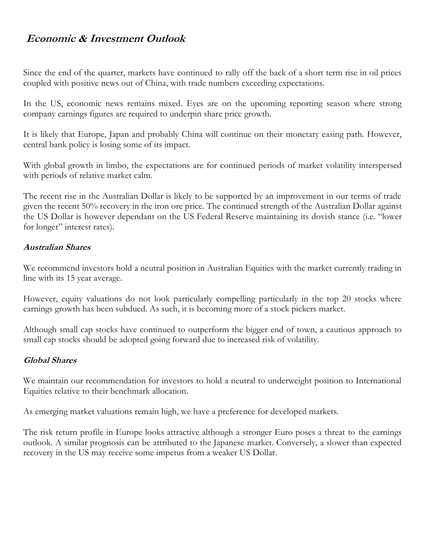## **Economic & Investment Outlook**

Since the end of the quarter, markets have continued to rally off the back of a short term rise in oil prices coupled with positive news out of China, with trade numbers exceeding expectations.

In the US, economic news remains mixed. Eyes are on the upcoming reporting season where strong company earnings figures are required to underpin share price growth.

It is likely that Europe, Japan and probably China will continue on their monetary easing path. However, central bank policy is losing some of its impact.

With global growth in limbo, the expectations are for continued periods of market volatility interspersed with periods of relative market calm.

The recent rise in the Australian Dollar is likely to be supported by an improvement in our terms of trade given the recent 50% recovery in the iron ore price. The continued strength of the Australian Dollar against the US Dollar is however dependant on the US Federal Reserve maintaining its dovish stance (i.e. "lower for longer" interest rates).

#### **Australian Shares**

We recommend investors hold a neutral position in Australian Equities with the market currently trading in line with its 15 year average.

However, equity valuations do not look particularly compelling particularly in the top 20 stocks where earnings growth has been subdued. As such, it is becoming more of a stock pickers market.

Although small cap stocks have continued to outperform the bigger end of town, a cautious approach to small cap stocks should be adopted going forward due to increased risk of volatility.

#### **Global Shares**

We maintain our recommendation for investors to hold a neutral to underweight position to International Equities relative to their benchmark allocation.

As emerging market valuations remain high, we have a preference for developed markets.

The risk return profile in Europe looks attractive although a stronger Euro poses a threat to the earnings outlook. A similar prognosis can be attributed to the Japanese market. Conversely, a slower than expected recovery in the US may receive some impetus from a weaker US Dollar.